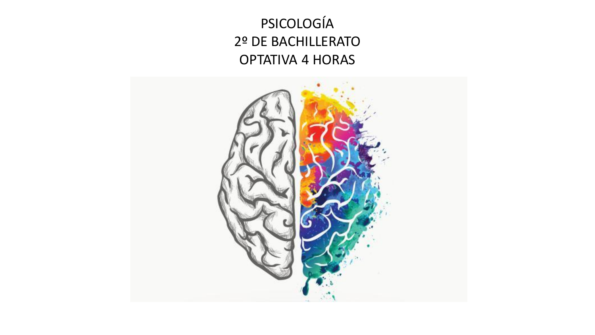PSICOLOGÍA 2º DE BACHILLERATO OPTATIVA 4 HORAS

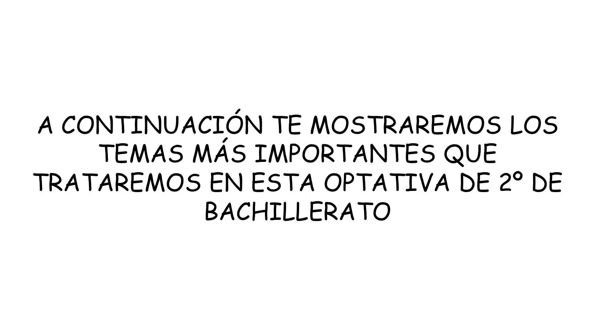# A CONTINUACIÓN TE MOSTRAREMOS LOS TEMAS MÁS IMPORTANTES QUE TRATAREMOS EN ESTA OPTATIVA DE 2º DE BACHILLFRATO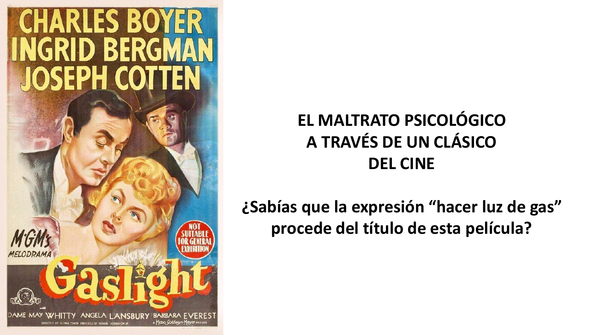

# **EL MALTRATO PSICOLÓGICO A TRAVÉS DE UN CLÁSICO DEL CINE**

**¿Sabías que la expresión "hacer luz de gas" procede del título de esta película?**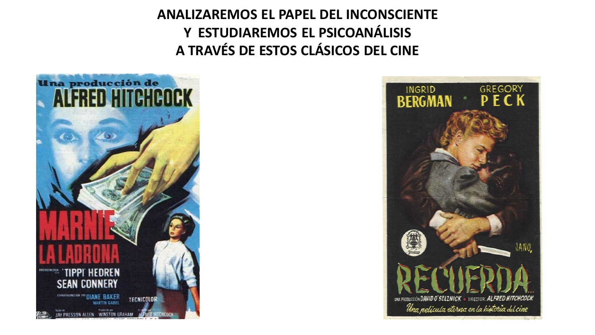**ANALIZAREMOS EL PAPEL DEL INCONSCIENTE Y ESTUDIAREMOS EL PSICOANÁLISIS A TRAVÉS DE ESTOS CLÁSICOS DEL CINE**



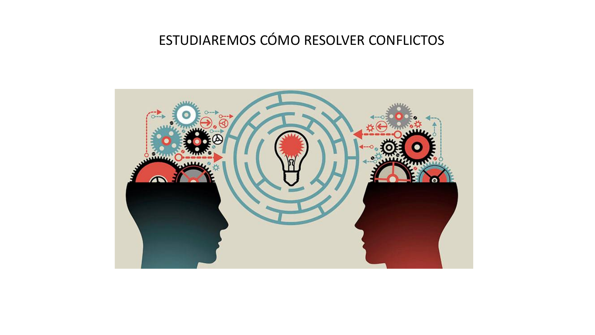#### ESTUDIAREMOS CÓMO RESOLVER CONFLICTOS

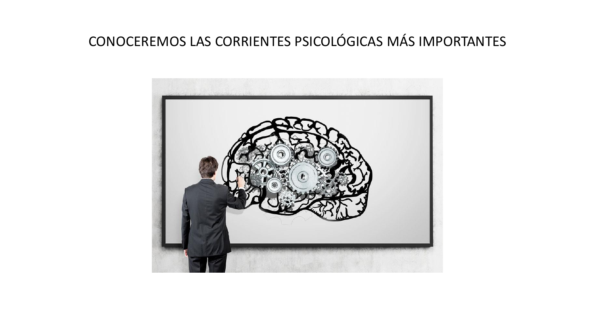## CONOCEREMOS LAS CORRIENTES PSICOLÓGICAS MÁS IMPORTANTES

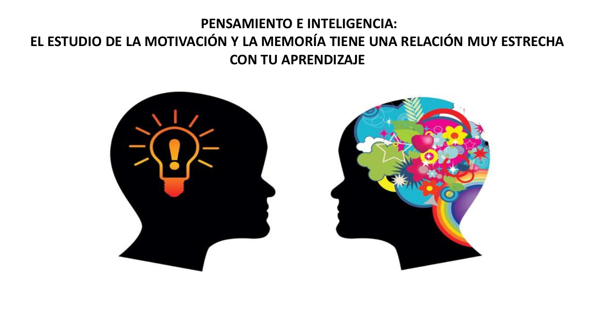#### **PENSAMIENTO E INTELIGENCIA: EL ESTUDIO DE LA MOTIVACIÓN Y LA MEMORÍA TIENE UNA RELACIÓN MUY ESTRECHA CON TU APRENDIZAJE**



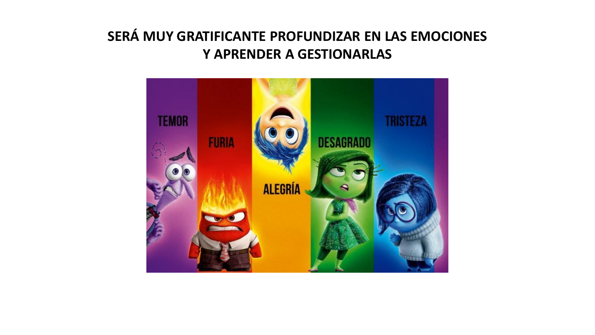### SERÁ MUY GRATIFICANTE PROFUNDIZAR EN LAS EMOCIONES **Y APRENDER A GESTIONARLAS**

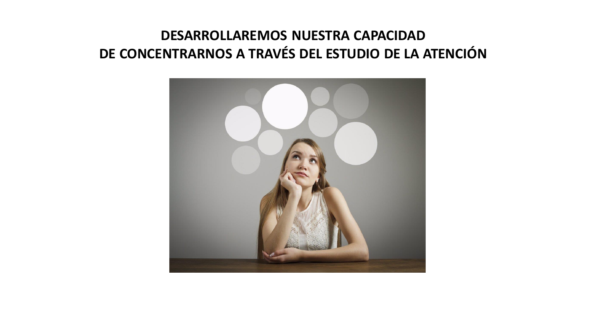#### **DESARROLLAREMOS NUESTRA CAPACIDAD DE CONCENTRARNOS A TRAVÉS DEL ESTUDIO DE LA ATENCIÓN**

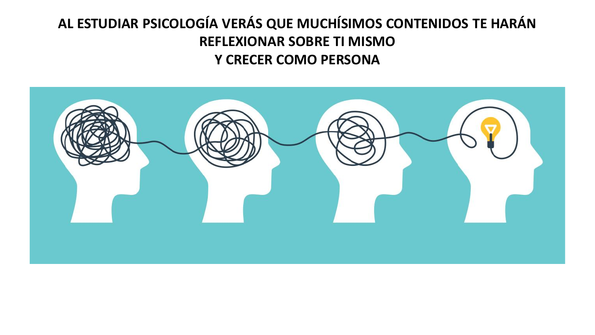### AL ESTUDIAR PSICOLOGÍA VERÁS QUE MUCHÍSIMOS CONTENIDOS TE HARÁN **REFLEXIONAR SOBRE TI MISMO Y CRECER COMO PERSONA**

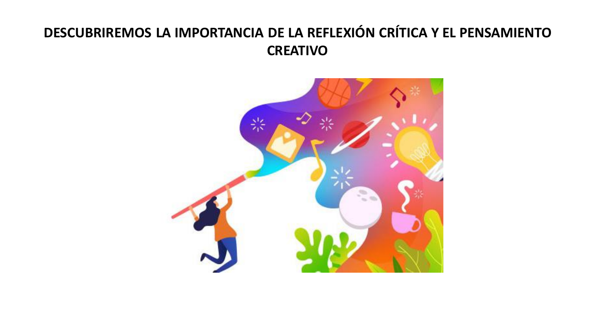## **DESCUBRIREMOS LA IMPORTANCIA DE LA REFLEXIÓN CRÍTICA Y EL PENSAMIENTO CREATIVO**

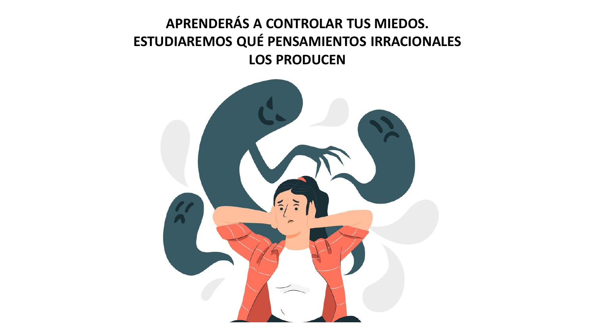### APRENDERÁS A CONTROLAR TUS MIEDOS. ESTUDIAREMOS QUÉ PENSAMIENTOS IRRACIONALES **LOS PRODUCEN**

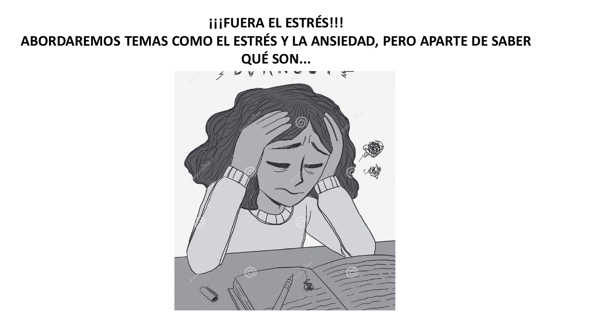### **¡¡¡FUERA EL ESTRÉS!!! ABORDAREMOS TEMAS COMO EL ESTRÉS Y LA ANSIEDAD, PERO APARTE DE SABER QUÉ SON...**

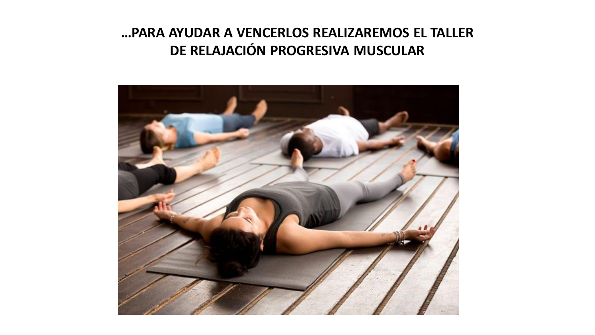#### **…PARA AYUDAR A VENCERLOS REALIZAREMOS EL TALLER DE RELAJACIÓN PROGRESIVA MUSCULAR**

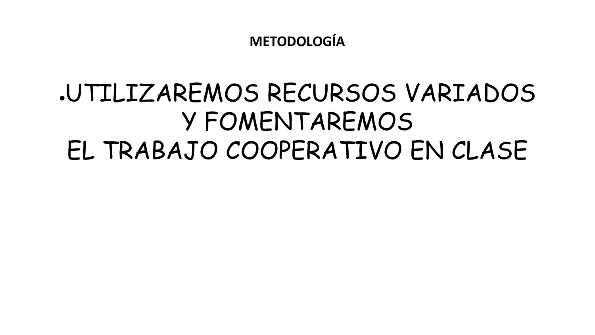**METODOLOGÍA** 

# JUTILIZAREMOS RECURSOS VARIADOS Y FOMENTAREMOS EL TRABAJO COOPERATIVO EN CLASE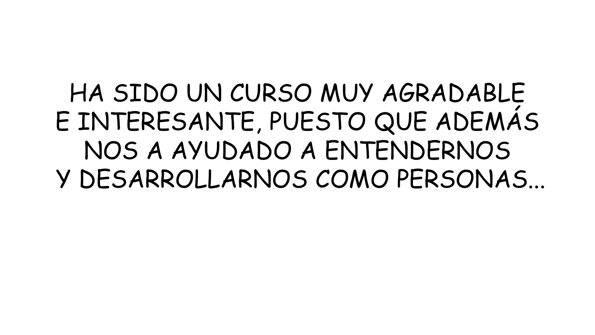# HA SIDO UN CURSO MUY AGRADABLE E INTERESANTE, PUESTO QUE ADEMÁS NOS A AYUDADO A ENTENDERNOS Y DESARROLLARNOS COMO PERSONAS...